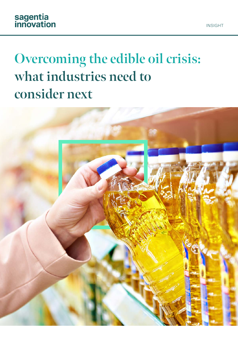# **Overcoming the edible oil crisis: what industries need to consider next**

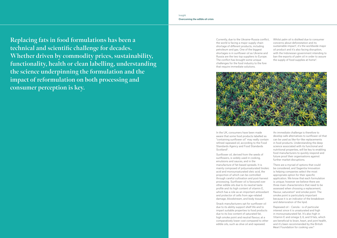**Replacing fats in food formulations has been a technical and scientific challenge for decades. Whether driven by commodity prices, sustainability, functionality, health or clean labelling, understanding the science underpinning the formulation and the impact of reformulation on both processing and consumer perception is key.**

Currently, due to the Ukraine-Russia conflict, the world is facing a major supply chain shortage of different products, including petroleum and gas. One of the biggest shortages is in sunflower oil as Ukraine and Russia are the two top suppliers to Europe. The conflict has brought some unique challenges for the food industry to the fore that require immediate solutions.



In the UK, consumers have been made aware that some food products labelled as "containing sunflower oil" may really contain refined rapeseed oil, according to the Food Standards Agency and Food Standards Scotland<sup>3</sup>.

Sunflower oil, derived from the seeds of sunflowers, is widely used in cooking, emulsions and sauces, and in the manufacture of fat-based spreads. It is mainly composed of polyunsaturated linoleic acid and monounsaturated oleic acid, the proportion of which can be controlled through careful cultivation and post-harvest processing. Sunflower oil is favoured over other edible oils due to its neutral taste profile and its high content of vitamin E, which has a role as an important antioxidant and protector of cells from age-related damage, bloodstream, and body tissues<sup>4</sup>.

Whilst palm oil is disliked due to consumer concerns about deforestation and its sustainable impact 1 , it's the worldwide major oil product and it's also facing disruption, with the Indonesian government intending to ban the exports of palm oil in order to assure the supply of food supplies at home 2 .

Snack manufacturers opt for sunflower oil due to its ability support shelf life and to impart suitable properties to food products due to its low content of saturated fat, high smoke point and neutral flavour, at a comparatively lower cost compared to other edible oils, such as olive oil and rapeseed.

An immediate challenge is therefore to develop safe alternatives to sunflower oil that can be used as like-for-like replacements in food products. Understanding the deep science associated with its functional and nutritional properties, will be key to enabling food manufacturers to quickly respond and future proof their organisations against further market disruptions.

There are a myriad of options that could be considered, and Sagentia Innovation is helping companies select the most appropriate option for their specific application. We know that each formulation is unique; however we believe there are three main characteristics that need to be assessed when choosing a replacement; flavour, saturation<sup>5</sup> and smoke point. The smoke point is particularly important because it is an indicator of the breakdown and deterioration of the lipid.

Rapeseed oil – Canola - is of particular interest since it is unsaturated and high in monounsaturated fat. It's also high in Vitamin E and omega 3, 6, and 9 fats, which are beneficial to brain, heart, and joint health, and it's been recommended by the British Heart Foundation for cooking use. 6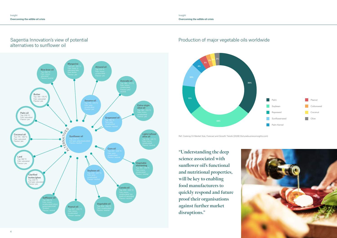

## Sagentia Innovation's view of potential alternatives to sunflower oil



## Production of major vegetable oils worldwide

"Understanding the deep science associated with sunflower oil's functional and nutritional properties, **will be key to enabling food manufacturers to quickly respond and future proof their organisations against further market disruptions."**



Ref: [Cooking Oil Market Size, Forecast and Growth Trends \[2028\] \(fortunebusinessinsights.com\)](https://www.fortunebusinessinsights.com/cooking-oil-market-106391)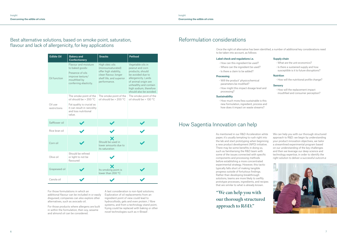## Best alternative solutions, based on smoke point, saturation, flavour and lack of allergenicity, for key applications

## Reformulation considerations

A last consideration is non-lipid solutions. Exploration of oil replacements from an ingredient point of view could lead to hydrocolloids, gels and even protein / fibre systems, and from a technology stand point, frying could be replaced with baking or other novel technologies such as n-Bread<sup>7</sup>.

For those formulations in which an additional flavour can be included in or easily disguised, companies can also explore other alternatives, such as avocado oil.

For those products where allergens are built in within the formulation, then soy, sesame and almond oil can be considered.

| <b>Edible Oil</b>       | <b>Bakery and</b><br><b>Confectionery</b>                                                                                                     | <b>Snacks</b>                                                                                                                      | <b>Petfood</b>                                                                                                                                                                                              |
|-------------------------|-----------------------------------------------------------------------------------------------------------------------------------------------|------------------------------------------------------------------------------------------------------------------------------------|-------------------------------------------------------------------------------------------------------------------------------------------------------------------------------------------------------------|
| Oil function            | Flavour and moisture<br>to baked goods-<br>Presence of oils<br>improve texture/<br>mouthfeel by<br>conferring elasticity.                     | High oleic oils<br>(monounsaturated)<br>offer high stability,<br>clean flavour, longer<br>shelf life, and superior<br>performance. | Vegetable oils in<br>peanut and corn<br>products, should<br>be avoided due to<br>allergenicity. Lards<br>of animal origin are<br>unhealthy and contain<br>high sodium, therefore<br>should also be avoided. |
| Oil use<br>restrictions | The smoke point of the<br>oil should be > 200 °C<br>Fat quality is crucial as<br>it can result in rancidity<br>and loss nutritional<br>value. | The smoke point of the<br>oil should be > 200 °C                                                                                   | The smoke point of the<br>oil should be > 130 °C                                                                                                                                                            |
| Safflower oil           |                                                                                                                                               |                                                                                                                                    |                                                                                                                                                                                                             |
| Rice bran oil           |                                                                                                                                               |                                                                                                                                    |                                                                                                                                                                                                             |
| Corn oil                |                                                                                                                                               | Should be used in<br>lower amounts due to<br>its saturation                                                                        |                                                                                                                                                                                                             |
| Olive oil               | Should be refined<br>or light to not be<br>flavoured                                                                                          |                                                                                                                                    |                                                                                                                                                                                                             |
| Grapeseed oil           |                                                                                                                                               | Its smoking point is<br>lower than 200 °C                                                                                          |                                                                                                                                                                                                             |
| Canola oil              |                                                                                                                                               |                                                                                                                                    |                                                                                                                                                                                                             |

### Label check and regulations i.e.

- How can this ingredient be used?
- Where can the ingredient be used?
- Is there a claim to be added?

### Processing

- Will the product' physicochemical parameters be modified?
- How might this impact dosage level and processing?

### **Sustainability**

- How much more/less sustainable is this new formulation, ingredient, process and how does it impact on waste streams?

- Supply chain
- What are the unit economics?
- Is there a sustained supply and how susceptible is it to future disruptions?

### **Nutrition**

- How will the nutritional profile change?

### **Sensory**

- How will the replacement impact mouthfeel and consumer perception?

## How Sagentia Innovation can help

As mentioned in our [R&D Acceleration white](https://www.sagentiainnovation.com/insights/rd-acceleration/)  [paper,](https://www.sagentiainnovation.com/insights/rd-acceleration/) it's usually tempting to rush right into the lab and start prototyping when beginning a new product development (NPD) initiative. There may be some benefits in doing so, such as familiarising the R&D team with some of the issues connected with specific components and processing methods before establishing a more concentrated experimental strategy. However, this tactic typically falls short of making tangible progress outside of fortuitous findings. Rather than developing breakthrough solutions, teams are more likely to swiftly prototype processes, ingredients, and recipes that are similar to what is already known.

We can help you with our thorough structured approach to R&D: we begin by understanding your product innovation objectives, we tailor a streamlined experimental program based on our understanding of the key challenges and then we leverage our deep science and technology expertise, in order to identify the right solution to deliver a successful outcom.e



Once the right oil alternative has been identified, a number of additional key considerations need to be taken into account, as follows:

**"We can help you with our thorough structured approach to R&D."**

- 
-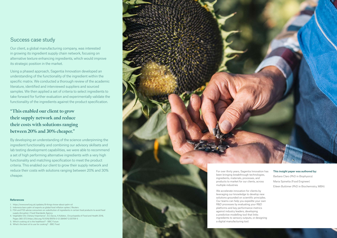## Success case study

Our client, a global manufacturing company, was interested in growing its ingredient supply chain network, focusing on alternative texture enhancing ingredients, which would improve its strategic position in the market.

Using a phased approach, Sagentia Innovation developed an understanding of the functionality of the ingredient within the specific matrix. We conducted a thorough review of the academic literature, identified and interviewed suppliers and sourced samples. We then applied a set of criteria to select ingredients to take forward for further evaluation and experimentally validate the functionality of the ingredients against the product specification.

By developing an understanding of the science underpinning the ingredient functionality and combining our advisory skillsets and lab testing development capabilities, we were able to recommend a set of high performing alternative ingredients with a very high functionality and matching specification to meet the product criteria. This enabled our client to grow their supply network and reduce their costs with solutions ranging between 20% and 30% cheaper.

## **"This enabled our client to grow their supply network and reduce their costs with solutions ranging between 20% and 30% cheaper."**



- 1. <https://www.wwf.org.uk/updates/8-things-know-about-palm-oil>
- 2. [Indonesia bans palm oil exports as global food inflation spikes | Reuters](https://www.reuters.com/world/asia-pacific/indonesia-ban-palm-oil-exports-shore-up-supply-soyoil-futures-surge-2022-04-22/)
- 3. [FSA and FSS advise consumers on substitution of ingredients in certain food products to avoid food](https://www.food.gov.uk/news-alerts/news/fsa-and-fss-advise-consumers-on-substitution-of-ingredients-in-certain-food-products-to-avoid-food-supply-disruption)  [supply disruption | Food Standards Agency](https://www.food.gov.uk/news-alerts/news/fsa-and-fss-advise-consumers-on-substitution-of-ingredients-in-certain-food-products-to-avoid-food-supply-disruption)
- 4. Vegetable Oils: Dietary Importance", S.C.Savva, A.Kafatos , Encyclopedia of Food and Health 2016, Pages 365-372 [\(https://doi.org/10.1016/B978-0-12-384947-2.00709-1\)](https://www.sciencedirect.com/science/article/pii/B9780123849472007091?via%3Dihub)
- 5. [Which cooking oil is the healthiest? BBC Future](https://www.bbc.com/future/article/20200903-which-cooking-oil-is-the-healthiest)
- 
- 6. [What's the best oil to use for cooking? BBC Food](https://www.bbc.co.uk/food/articles/best_oils)



been bringing breakthrough technologies, ingredients, materials, processes, and products to market for our clients, across

multiple industries

We accelerate innovation for clients by leveraging our knowledge to develop new solutions grounded on scientific principles. Our teams can help you expedite your own R&D processes by evaluating your R&D platforms and key performance metrics against industry leaders, d eveloping a predictive modelling tool that links ingredients to sensory outpu ts, or designing

a digital manufacturing tool.

### This insight paper was authored by:

Barbara Claro (PhD in Biophysics) Maria Spinetta (Food Engineer) Eileen Buttimer (PhD in Biochemistry, MBA)